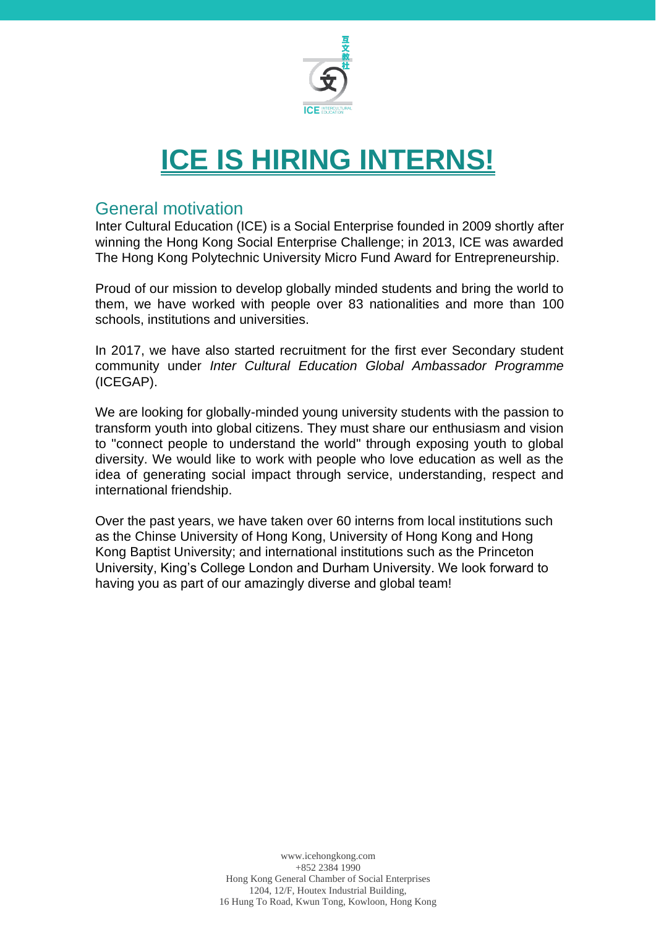

# **ICE IS HIRING INTERNS!**

### General motivation

Inter Cultural Education (ICE) is a Social Enterprise founded in 2009 shortly after winning the Hong Kong Social Enterprise Challenge; in 2013, ICE was awarded The Hong Kong Polytechnic University Micro Fund Award for Entrepreneurship.

Proud of our mission to develop globally minded students and bring the world to them, we have worked with people over 83 nationalities and more than 100 schools, institutions and universities.

In 2017, we have also started recruitment for the first ever Secondary student community under *Inter Cultural Education Global Ambassador Programme* (ICEGAP).

We are looking for globally-minded young university students with the passion to transform youth into global citizens. They must share our enthusiasm and vision to "connect people to understand the world" through exposing youth to global diversity. We would like to work with people who love education as well as the idea of generating social impact through service, understanding, respect and international friendship.

Over the past years, we have taken over 60 interns from local institutions such as the Chinse University of Hong Kong, University of Hong Kong and Hong Kong Baptist University; and international institutions such as the Princeton University, King's College London and Durham University. We look forward to having you as part of our amazingly diverse and global team!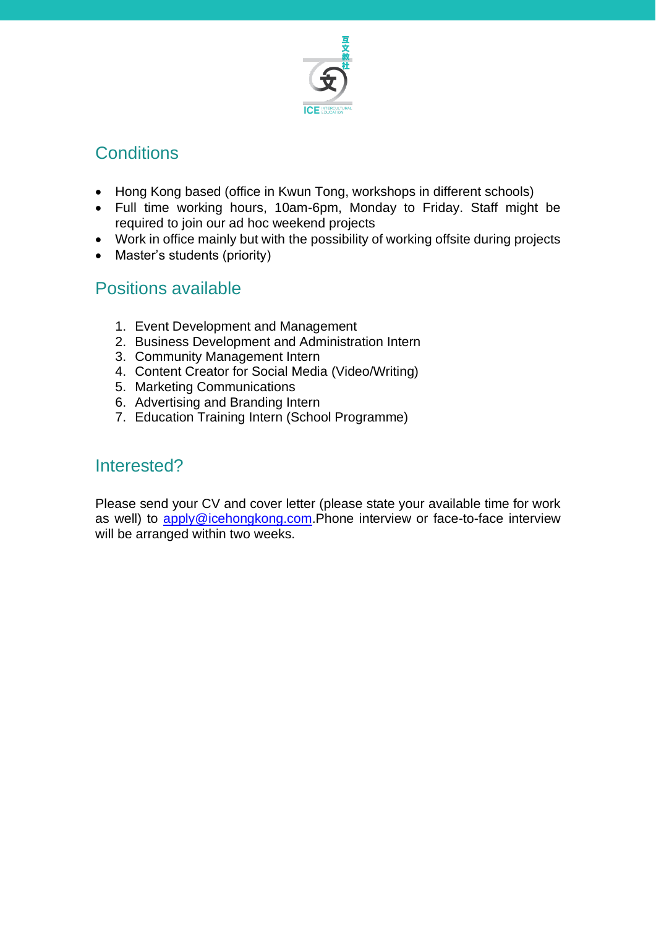

### **Conditions**

- Hong Kong based (office in Kwun Tong, workshops in different schools)
- Full time working hours, 10am-6pm, Monday to Friday. Staff might be required to join our ad hoc weekend projects
- Work in office mainly but with the possibility of working offsite during projects
- Master's students (priority)

### Positions available

- 1. Event Development and Management
- 2. Business Development and Administration Intern
- 3. Community Management Intern
- 4. Content Creator for Social Media (Video/Writing)
- 5. Marketing Communications
- 6. Advertising and Branding Intern
- 7. Education Training Intern (School Programme)

### Interested?

Please send your CV and cover letter (please state your available time for work as well) to [apply@icehongkong.com.](mailto:apply@icehongkong.com)Phone interview or face-to-face interview will be arranged within two weeks.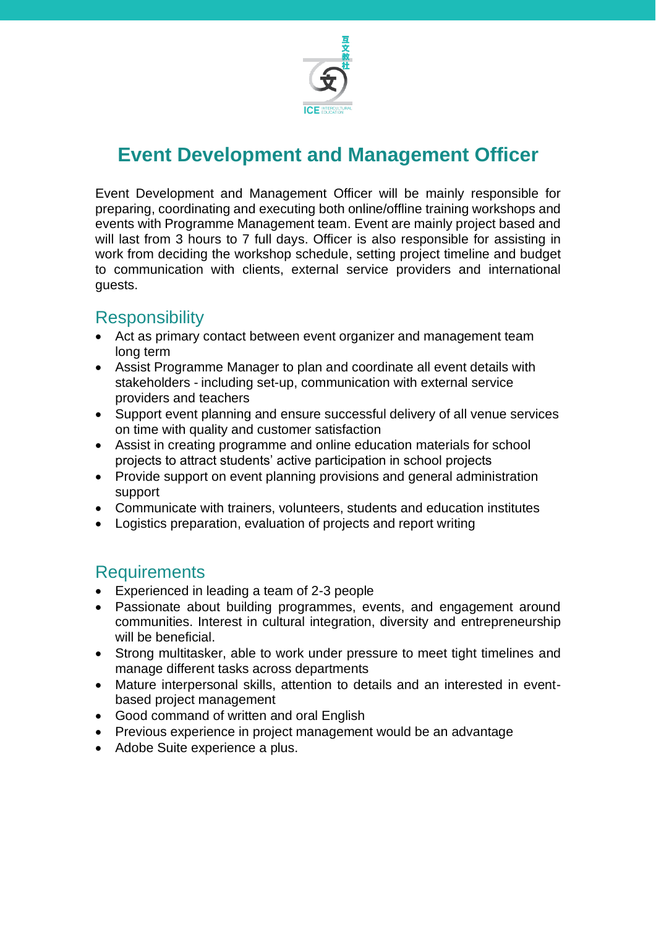

### **Event Development and Management Officer**

Event Development and Management Officer will be mainly responsible for preparing, coordinating and executing both online/offline training workshops and events with Programme Management team. Event are mainly project based and will last from 3 hours to 7 full days. Officer is also responsible for assisting in work from deciding the workshop schedule, setting project timeline and budget to communication with clients, external service providers and international guests.

### **Responsibility**

- Act as primary contact between event organizer and management team long term
- Assist Programme Manager to plan and coordinate all event details with stakeholders - including set-up, communication with external service providers and teachers
- Support event planning and ensure successful delivery of all venue services on time with quality and customer satisfaction
- Assist in creating programme and online education materials for school projects to attract students' active participation in school projects
- Provide support on event planning provisions and general administration support
- Communicate with trainers, volunteers, students and education institutes
- Logistics preparation, evaluation of projects and report writing

- Experienced in leading a team of 2-3 people
- Passionate about building programmes, events, and engagement around communities. Interest in cultural integration, diversity and entrepreneurship will be beneficial.
- Strong multitasker, able to work under pressure to meet tight timelines and manage different tasks across departments
- Mature interpersonal skills, attention to details and an interested in eventbased project management
- Good command of written and oral English
- Previous experience in project management would be an advantage
- Adobe Suite experience a plus.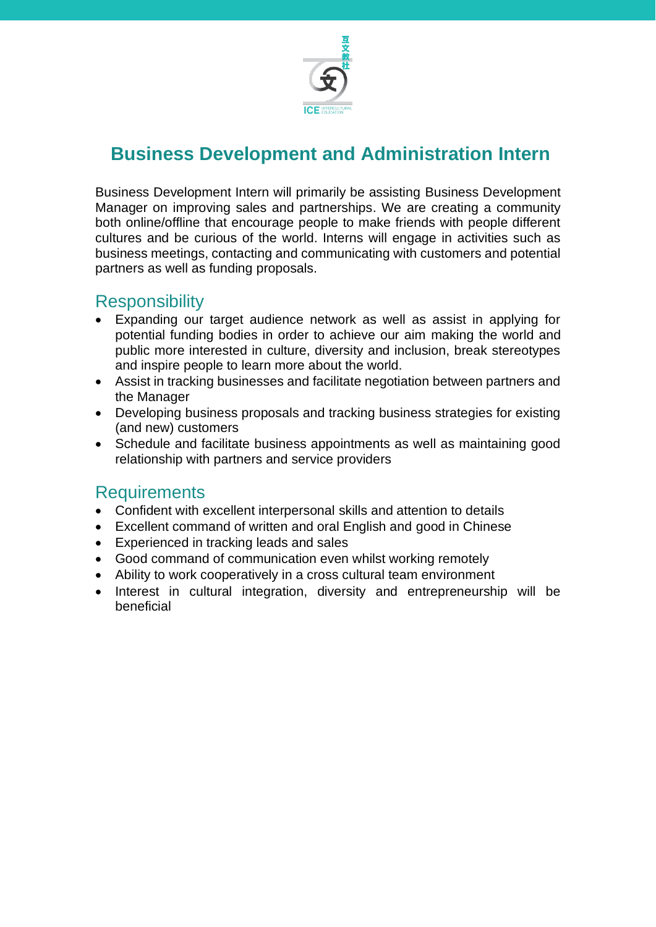

### **Business Development and Administration Intern**

Business Development Intern will primarily be assisting Business Development Manager on improving sales and partnerships. We are creating a community both online/offline that encourage people to make friends with people different cultures and be curious of the world. Interns will engage in activities such as business meetings, contacting and communicating with customers and potential partners as well as funding proposals.

#### **Responsibility**

- Expanding our target audience network as well as assist in applying for potential funding bodies in order to achieve our aim making the world and public more interested in culture, diversity and inclusion, break stereotypes and inspire people to learn more about the world.
- Assist in tracking businesses and facilitate negotiation between partners and the Manager
- Developing business proposals and tracking business strategies for existing (and new) customers
- Schedule and facilitate business appointments as well as maintaining good relationship with partners and service providers

- Confident with excellent interpersonal skills and attention to details
- Excellent command of written and oral English and good in Chinese
- Experienced in tracking leads and sales
- Good command of communication even whilst working remotely
- Ability to work cooperatively in a cross cultural team environment
- Interest in cultural integration, diversity and entrepreneurship will be beneficial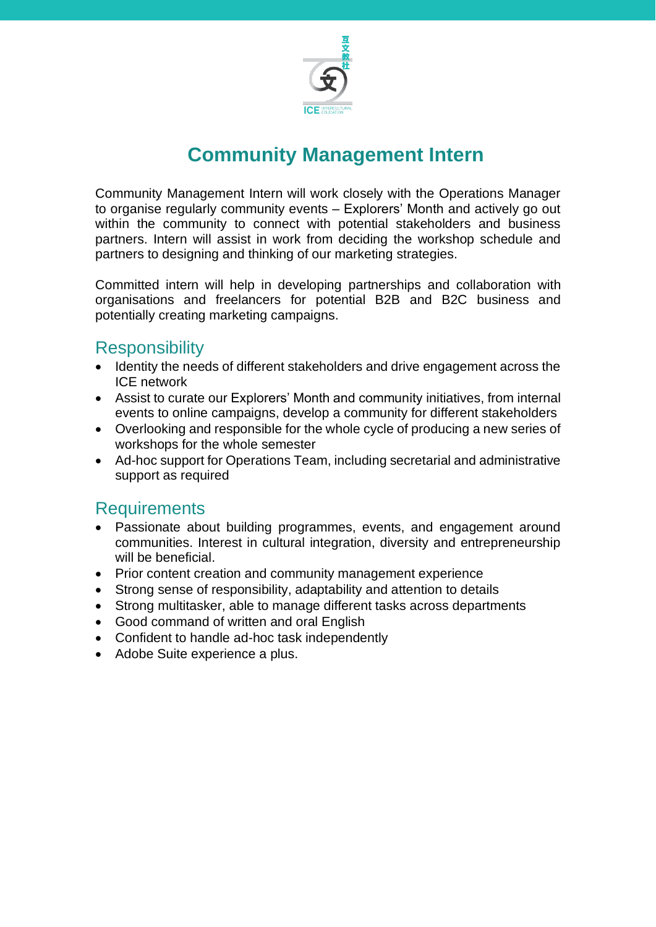

### **Community Management Intern**

Community Management Intern will work closely with the Operations Manager to organise regularly community events – Explorers' Month and actively go out within the community to connect with potential stakeholders and business partners. Intern will assist in work from deciding the workshop schedule and partners to designing and thinking of our marketing strategies.

Committed intern will help in developing partnerships and collaboration with organisations and freelancers for potential B2B and B2C business and potentially creating marketing campaigns.

#### **Responsibility**

- Identity the needs of different stakeholders and drive engagement across the ICE network
- Assist to curate our Explorers' Month and community initiatives, from internal events to online campaigns, develop a community for different stakeholders
- Overlooking and responsible for the whole cycle of producing a new series of workshops for the whole semester
- Ad-hoc support for Operations Team, including secretarial and administrative support as required

- Passionate about building programmes, events, and engagement around communities. Interest in cultural integration, diversity and entrepreneurship will be beneficial.
- Prior content creation and community management experience
- Strong sense of responsibility, adaptability and attention to details
- Strong multitasker, able to manage different tasks across departments
- Good command of written and oral English
- Confident to handle ad-hoc task independently
- Adobe Suite experience a plus.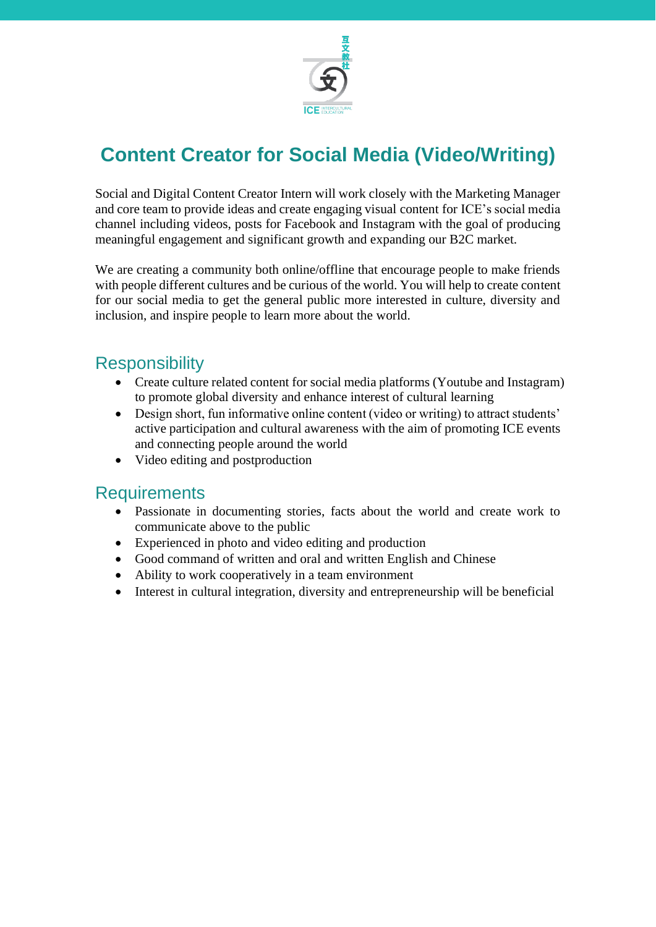

# **Content Creator for Social Media (Video/Writing)**

Social and Digital Content Creator Intern will work closely with the Marketing Manager and core team to provide ideas and create engaging visual content for ICE's social media channel including videos, posts for Facebook and Instagram with the goal of producing meaningful engagement and significant growth and expanding our B2C market.

We are creating a community both online/offline that encourage people to make friends with people different cultures and be curious of the world. You will help to create content for our social media to get the general public more interested in culture, diversity and inclusion, and inspire people to learn more about the world.

### **Responsibility**

- Create culture related content for social media platforms (Youtube and Instagram) to promote global diversity and enhance interest of cultural learning
- Design short, fun informative online content (video or writing) to attract students' active participation and cultural awareness with the aim of promoting ICE events and connecting people around the world
- Video editing and postproduction

- Passionate in documenting stories, facts about the world and create work to communicate above to the public
- Experienced in photo and video editing and production
- Good command of written and oral and written English and Chinese
- Ability to work cooperatively in a team environment
- Interest in cultural integration, diversity and entrepreneurship will be beneficial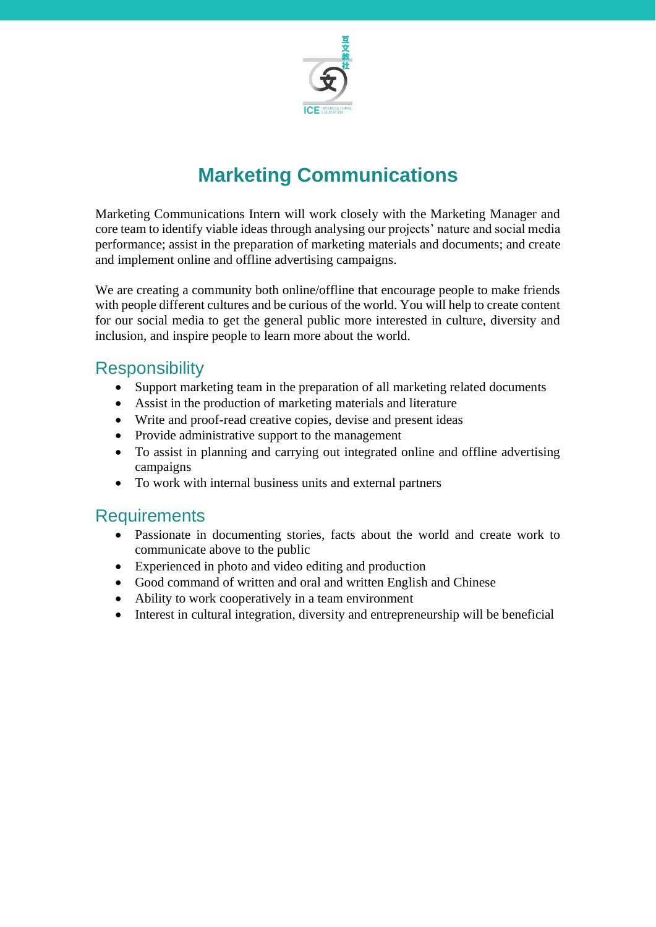

# **Marketing Communications**

Marketing Communications Intern will work closely with the Marketing Manager and core team to identify viable ideas through analysing our projects' nature and social media performance; assist in the preparation of marketing materials and documents; and create and implement online and offline advertising campaigns.

We are creating a community both online/offline that encourage people to make friends with people different cultures and be curious of the world. You will help to create content for our social media to get the general public more interested in culture, diversity and inclusion, and inspire people to learn more about the world.

#### **Responsibility**

- Support marketing team in the preparation of all marketing related documents
- Assist in the production of marketing materials and literature
- Write and proof-read creative copies, devise and present ideas
- Provide administrative support to the management
- To assist in planning and carrying out integrated online and offline advertising campaigns
- To work with internal business units and external partners

- Passionate in documenting stories, facts about the world and create work to communicate above to the public
- Experienced in photo and video editing and production
- Good command of written and oral and written English and Chinese
- Ability to work cooperatively in a team environment
- Interest in cultural integration, diversity and entrepreneurship will be beneficial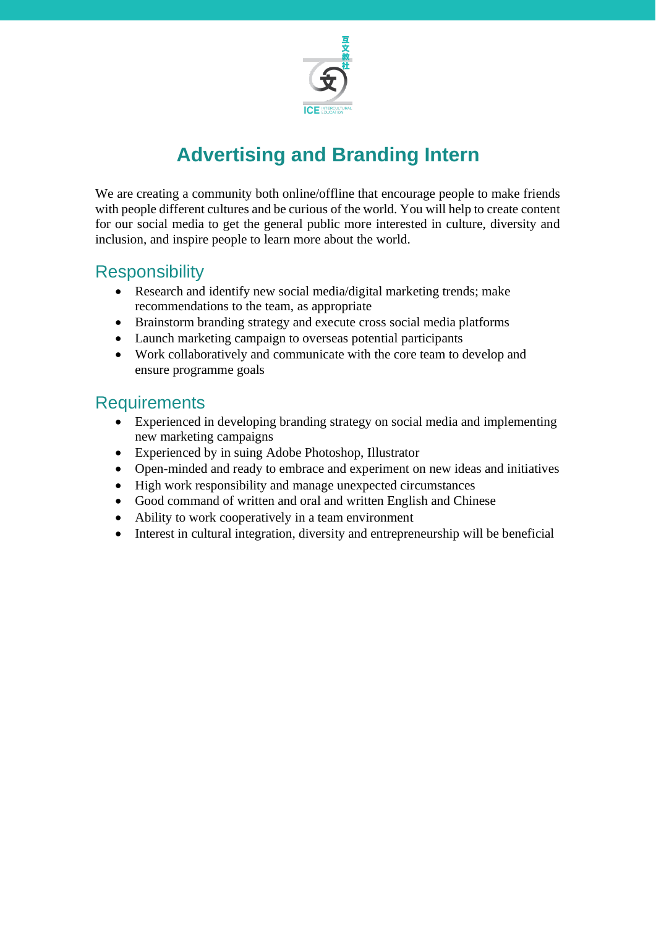

# **Advertising and Branding Intern**

We are creating a community both online/offline that encourage people to make friends with people different cultures and be curious of the world. You will help to create content for our social media to get the general public more interested in culture, diversity and inclusion, and inspire people to learn more about the world.

### **Responsibility**

- Research and identify new social media/digital marketing trends; make recommendations to the team, as appropriate
- Brainstorm branding strategy and execute cross social media platforms
- Launch marketing campaign to overseas potential participants
- Work collaboratively and communicate with the core team to develop and ensure programme goals

- Experienced in developing branding strategy on social media and implementing new marketing campaigns
- Experienced by in suing Adobe Photoshop, Illustrator
- Open-minded and ready to embrace and experiment on new ideas and initiatives
- High work responsibility and manage unexpected circumstances
- Good command of written and oral and written English and Chinese
- Ability to work cooperatively in a team environment
- Interest in cultural integration, diversity and entrepreneurship will be beneficial